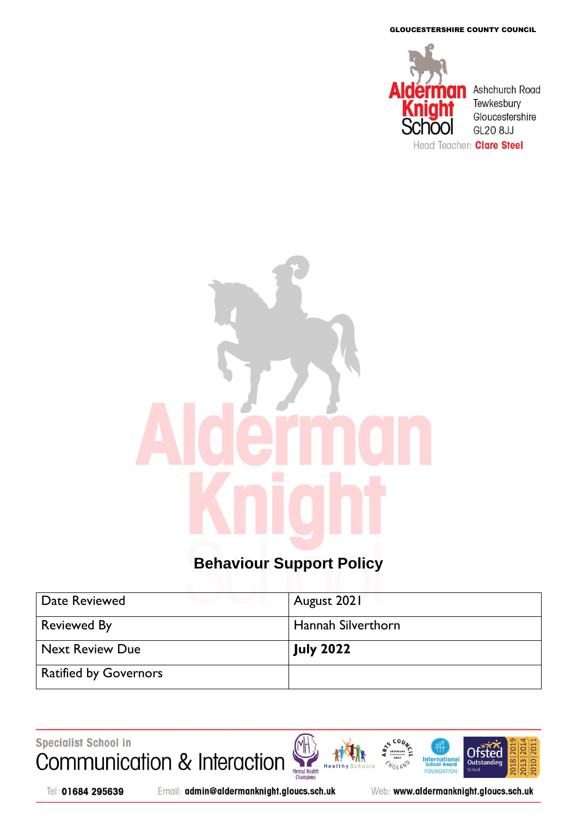GLOUCESTERSHIRE COUNTY COUNCIL



## **Behaviour Support Policy**

| Date Reviewed                | August 2021               |
|------------------------------|---------------------------|
| <b>Reviewed By</b>           | <b>Hannah Silverthorn</b> |
| Next Review Due              | <b>July 2022</b>          |
| <b>Ratified by Governors</b> |                           |

Specialist School in Communication & Interaction





Email: admin@aldermanknight.gloucs.sch.uk

Web: www.aldermanknight.gloucs.sch.uk

**International**<br>School Award

FOU **IDATION** 

NGLAND

2010 201

**Ofsted** 

Outstanding

ے<br>Schoo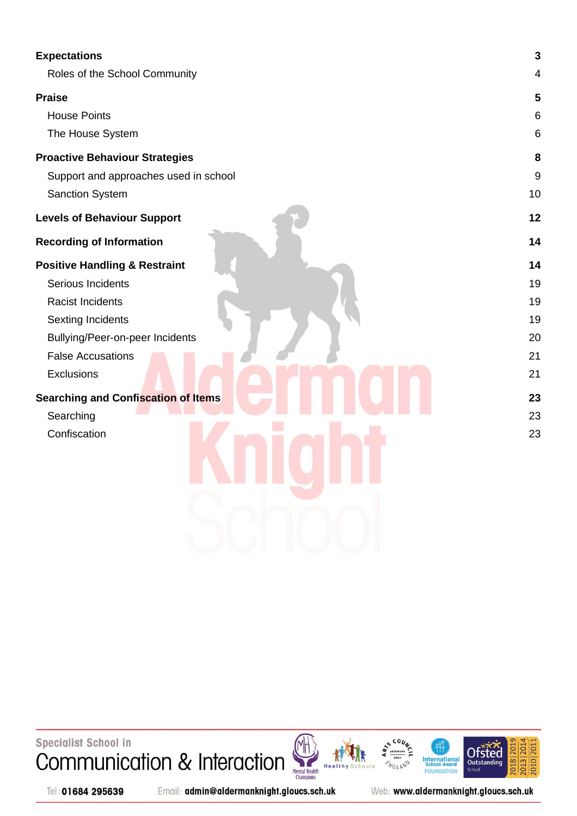| <b>Expectations</b>                        | $\mathbf{3}$     |
|--------------------------------------------|------------------|
| Roles of the School Community              | 4                |
| <b>Praise</b>                              | $5\phantom{1}$   |
| <b>House Points</b>                        | 6                |
| The House System                           | 6                |
| <b>Proactive Behaviour Strategies</b>      | 8                |
| Support and approaches used in school      | $\boldsymbol{9}$ |
| Sanction System                            | 10               |
| <b>Levels of Behaviour Support</b>         | 12               |
| <b>Recording of Information</b>            | 14               |
| <b>Positive Handling &amp; Restraint</b>   | 14               |
| Serious Incidents                          | 19               |
| <b>Racist Incidents</b>                    | 19               |
| <b>Sexting Incidents</b>                   | 19               |
| Bullying/Peer-on-peer Incidents            | 20               |
| <b>False Accusations</b>                   | 21               |
| Exclusions                                 | 21               |
| <b>Searching and Confiscation of Items</b> | 23               |
| Searching                                  | 23               |
| Confiscation                               | 23               |
|                                            |                  |
|                                            |                  |
|                                            |                  |
|                                            |                  |
|                                            |                  |
|                                            |                  |

Specialist School in Communication & Interaction







Tel: 01684 295639

Email: admin@aldermanknight.gloucs.sch.uk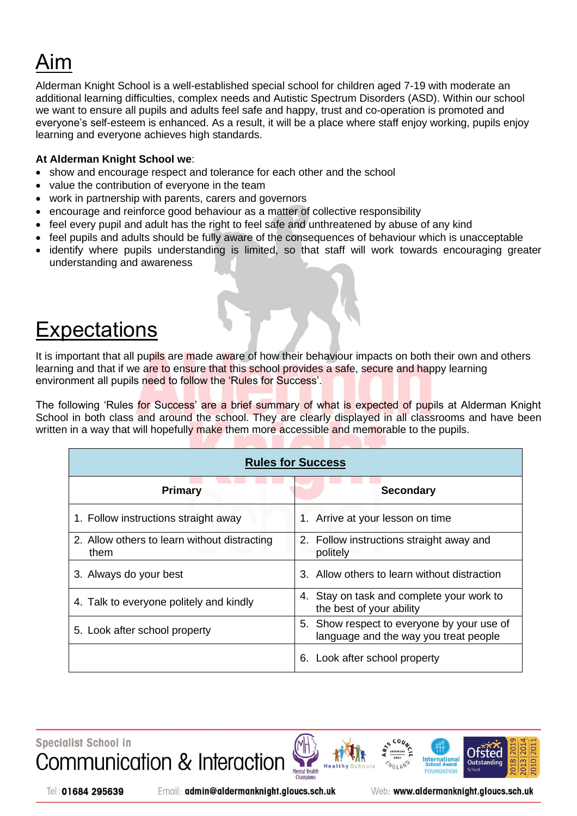# Aim

Alderman Knight School is a well-established special school for children aged 7-19 with moderate an additional learning difficulties, complex needs and Autistic Spectrum Disorders (ASD). Within our school we want to ensure all pupils and adults feel safe and happy, trust and co-operation is promoted and everyone's self-esteem is enhanced. As a result, it will be a place where staff enjoy working, pupils enjoy learning and everyone achieves high standards.

#### **At Alderman Knight School we**:

- show and encourage respect and tolerance for each other and the school
- value the contribution of everyone in the team
- work in partnership with parents, carers and governors
- encourage and reinforce good behaviour as a matter of collective responsibility
- feel every pupil and adult has the right to feel safe and unthreatened by abuse of any kind
- feel pupils and adults should be fully aware of the consequences of behaviour which is unacceptable
- identify where pupils understanding is limited, so that staff will work towards encouraging greater understanding and awareness

## <span id="page-2-0"></span>**Expectations**

It is important that all pupils are made aware of how their behaviour impacts on both their own and others learning and that if we are to ensure that this school provides a safe, secure and happy learning environment all pupils need to follow the 'Rules for Success'.

The following 'Rules for Success' are a brief summary of what is expected of pupils at Alderman Knight School in both class and around the school. They are clearly displayed in all classrooms and have been written in a way that will hopefully make them more accessible and memorable to the pupils.

| <b>Rules for Success</b>                             |                                                                                     |  |  |
|------------------------------------------------------|-------------------------------------------------------------------------------------|--|--|
| Primary                                              | <b>Secondary</b>                                                                    |  |  |
| 1. Follow instructions straight away                 | 1. Arrive at your lesson on time                                                    |  |  |
| 2. Allow others to learn without distracting<br>them | 2. Follow instructions straight away and<br>politely                                |  |  |
| 3. Always do your best                               | 3. Allow others to learn without distraction                                        |  |  |
| 4. Talk to everyone politely and kindly              | 4. Stay on task and complete your work to<br>the best of your ability               |  |  |
| 5. Look after school property                        | 5. Show respect to everyone by your use of<br>language and the way you treat people |  |  |
|                                                      | Look after school property<br>6.                                                    |  |  |

**Specialist School in** 





Web: www.aldermanknight.gloucs.sch.uk

Internationa

Otste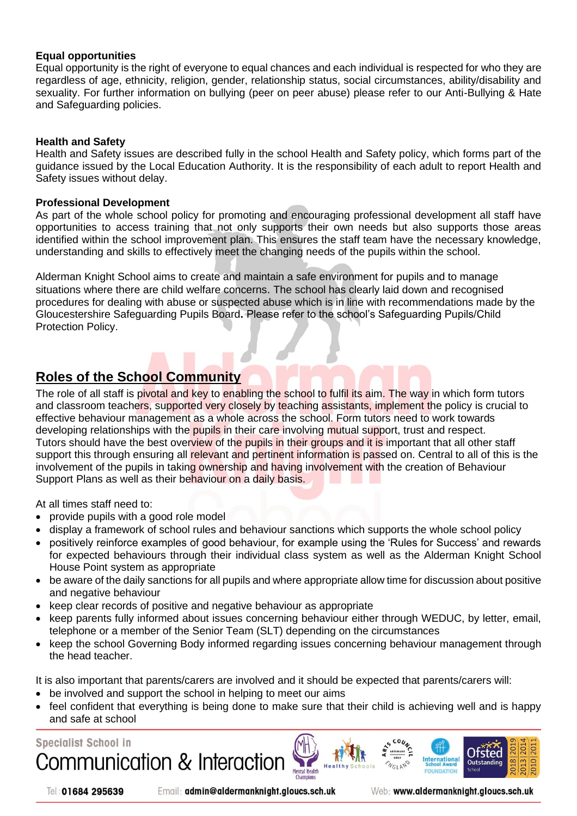#### **Equal opportunities**

Equal opportunity is the right of everyone to equal chances and each individual is respected for who they are regardless of age, ethnicity, religion, gender, relationship status, social circumstances, ability/disability and sexuality. For further information on bullying (peer on peer abuse) please refer to our Anti-Bullying & Hate and Safeguarding policies.

#### **Health and Safety**

Health and Safety issues are described fully in the school Health and Safety policy, which forms part of the guidance issued by the Local Education Authority. It is the responsibility of each adult to report Health and Safety issues without delay.

#### **Professional Development**

As part of the whole school policy for promoting and encouraging professional development all staff have opportunities to access training that not only supports their own needs but also supports those areas identified within the school improvement plan. This ensures the staff team have the necessary knowledge, understanding and skills to effectively meet the changing needs of the pupils within the school.

Alderman Knight School aims to create and maintain a safe environment for pupils and to manage situations where there are child welfare concerns. The school has clearly laid down and recognised procedures for dealing with abuse or suspected abuse which is in line with recommendations made by the Gloucestershire Safeguarding Pupils Board**.** Please refer to the school's Safeguarding Pupils/Child Protection Policy.

### <span id="page-3-0"></span>**Roles of the School Community**

The role of all staff is pivotal and key to enabling the school to fulfil its aim. The way in which form tutors and classroom teachers, supported very closely by teaching assistants, implement the policy is crucial to effective behaviour management as a whole across the school. Form tutors need to work towards developing relationships with the pupils in their care involving mutual support, trust and respect. Tutors should have the best overview of the pupils in their groups and it is important that all other staff support this through ensuring all relevant and pertinent information is passed on. Central to all of this is the involvement of the pupils in taking ownership and having involvement with the creation of Behaviour Support Plans as well as their behaviour on a daily basis.

At all times staff need to:

- provide pupils with a good role model
- display a framework of school rules and behaviour sanctions which supports the whole school policy
- positively reinforce examples of good behaviour, for example using the 'Rules for Success' and rewards for expected behaviours through their individual class system as well as the Alderman Knight School House Point system as appropriate
- be aware of the daily sanctions for all pupils and where appropriate allow time for discussion about positive and negative behaviour
- keep clear records of positive and negative behaviour as appropriate
- keep parents fully informed about issues concerning behaviour either through WEDUC, by letter, email, telephone or a member of the Senior Team (SLT) depending on the circumstances
- keep the school Governing Body informed regarding issues concerning behaviour management through the head teacher.

It is also important that parents/carers are involved and it should be expected that parents/carers will:

- be involved and support the school in helping to meet our aims
- feel confident that everything is being done to make sure that their child is achieving well and is happy and safe at school

Mental Health

**Specialist School in** Communication & Interaction

Tel: 01684 295639

Email: admin@aldermanknight.gloucs.sch.uk

Web: www.aldermanknight.gloucs.sch.uk

International

Otsted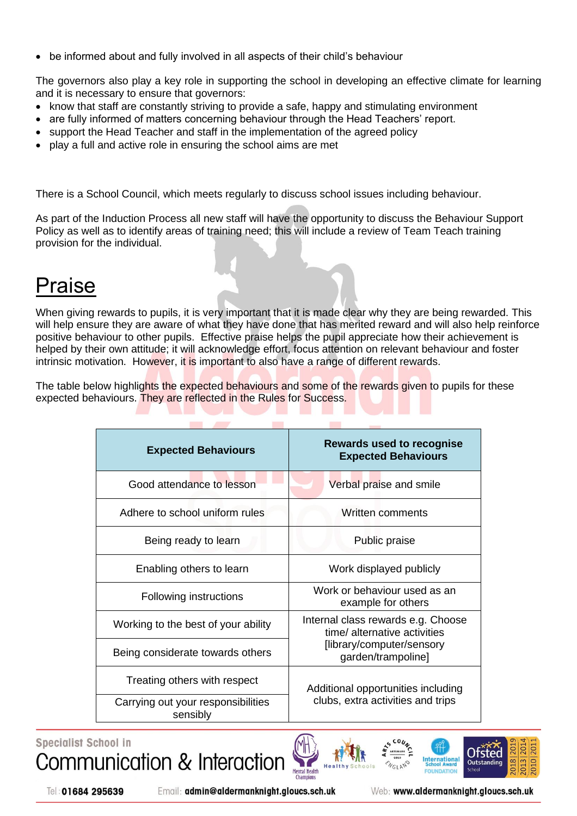• be informed about and fully involved in all aspects of their child's behaviour

The governors also play a key role in supporting the school in developing an effective climate for learning and it is necessary to ensure that governors:

- know that staff are constantly striving to provide a safe, happy and stimulating environment
- are fully informed of matters concerning behaviour through the Head Teachers' report.
- support the Head Teacher and staff in the implementation of the agreed policy
- play a full and active role in ensuring the school aims are met

There is a School Council, which meets regularly to discuss school issues including behaviour.

As part of the Induction Process all new staff will have the opportunity to discuss the Behaviour Support Policy as well as to identify areas of training need; this will include a review of Team Teach training provision for the individual.

## <span id="page-4-0"></span>Praise

When giving rewards to pupils, it is very important that it is made clear why they are being rewarded. This will help ensure they are aware of what they have done that has merited reward and will also help reinforce positive behaviour to other pupils. Effective praise helps the pupil appreciate how their achievement is helped by their own attitude; it will acknowledge effort, focus attention on relevant behaviour and foster intrinsic motivation. However, it is important to also have a range of different rewards.

The table below highlights the expected behaviours and some of the rewards given to pupils for these expected behaviours. They are reflected in the Rules for Success.

| <b>Expected Behaviours</b>                     | <b>Rewards used to recognise</b><br><b>Expected Behaviours</b>     |  |
|------------------------------------------------|--------------------------------------------------------------------|--|
| Good attendance to lesson                      | Verbal praise and smile                                            |  |
| Adhere to school uniform rules                 | Written comments                                                   |  |
| Being ready to learn                           | Public praise                                                      |  |
| Enabling others to learn                       | Work displayed publicly                                            |  |
| Following instructions                         | Work or behaviour used as an<br>example for others                 |  |
| Working to the best of your ability            | Internal class rewards e.g. Choose<br>time/ alternative activities |  |
| Being considerate towards others               | [library/computer/sensory<br>garden/trampoline]                    |  |
| Treating others with respect                   | Additional opportunities including                                 |  |
| Carrying out your responsibilities<br>sensibly | clubs, extra activities and trips                                  |  |

**Specialist School in** Communication & Interaction





Tel: 01684 295639

Email: admin@aldermanknight.gloucs.sch.uk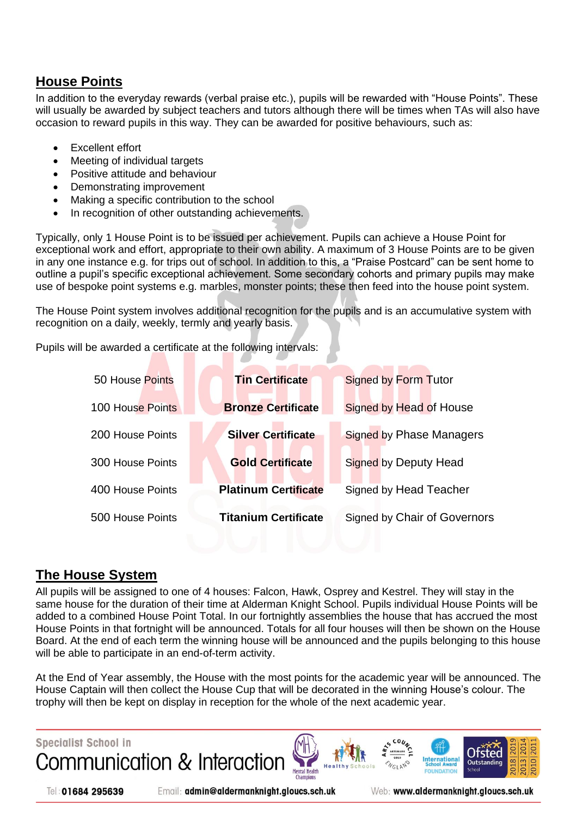## <span id="page-5-0"></span>**House Points**

In addition to the everyday rewards (verbal praise etc.), pupils will be rewarded with "House Points". These will usually be awarded by subject teachers and tutors although there will be times when TAs will also have occasion to reward pupils in this way. They can be awarded for positive behaviours, such as:

- Excellent effort
- Meeting of individual targets
- Positive attitude and behaviour
- Demonstrating improvement
- Making a specific contribution to the school
- In recognition of other outstanding achievements.

Typically, only 1 House Point is to be issued per achievement. Pupils can achieve a House Point for exceptional work and effort, appropriate to their own ability. A maximum of 3 House Points are to be given in any one instance e.g. for trips out of school. In addition to this, a "Praise Postcard" can be sent home to outline a pupil's specific exceptional achievement. Some secondary cohorts and primary pupils may make use of bespoke point systems e.g. marbles, monster points; these then feed into the house point system.

The House Point system involves additional recognition for the pupils and is an accumulative system with recognition on a daily, weekly, termly and yearly basis.

Pupils will be awarded a certificate at the following intervals:

| 50 House Points  | <b>Tin Certificate</b>      | <b>Signed by Form Tutor</b>     |
|------------------|-----------------------------|---------------------------------|
| 100 House Points | <b>Bronze Certificate</b>   | Signed by Head of House         |
| 200 House Points | <b>Silver Certificate</b>   | <b>Signed by Phase Managers</b> |
| 300 House Points | <b>Gold Certificate</b>     | Signed by Deputy Head           |
| 400 House Points | <b>Platinum Certificate</b> | Signed by Head Teacher          |
| 500 House Points | <b>Titanium Certificate</b> | Signed by Chair of Governors    |

### <span id="page-5-1"></span>**The House System**

All pupils will be assigned to one of 4 houses: Falcon, Hawk, Osprey and Kestrel. They will stay in the same house for the duration of their time at Alderman Knight School. Pupils individual House Points will be added to a combined House Point Total. In our fortnightly assemblies the house that has accrued the most House Points in that fortnight will be announced. Totals for all four houses will then be shown on the House Board. At the end of each term the winning house will be announced and the pupils belonging to this house will be able to participate in an end-of-term activity.

At the End of Year assembly, the House with the most points for the academic year will be announced. The House Captain will then collect the House Cup that will be decorated in the winning House's colour. The trophy will then be kept on display in reception for the whole of the next academic year.



Tel: 01684 295639

Email: admin@aldermanknight.gloucs.sch.uk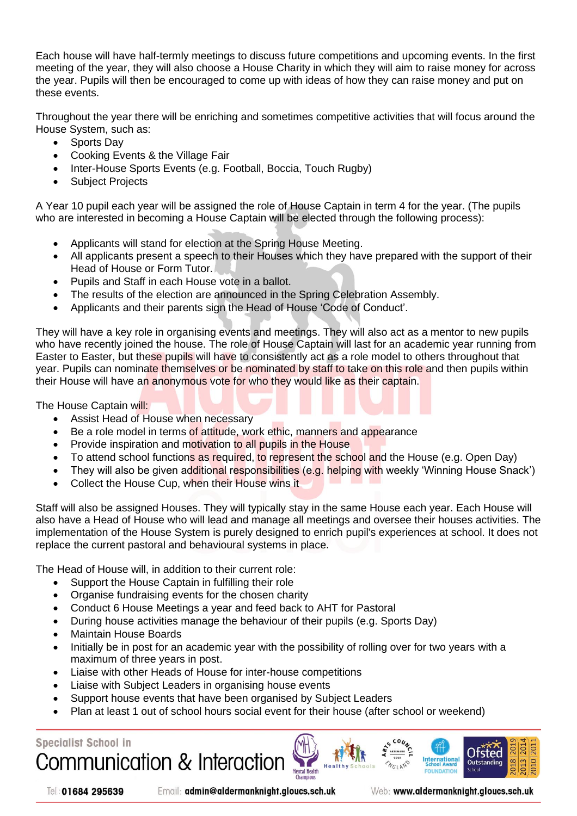Each house will have half-termly meetings to discuss future competitions and upcoming events. In the first meeting of the year, they will also choose a House Charity in which they will aim to raise money for across the year. Pupils will then be encouraged to come up with ideas of how they can raise money and put on these events.

Throughout the year there will be enriching and sometimes competitive activities that will focus around the House System, such as:

- Sports Day
- Cooking Events & the Village Fair
- Inter-House Sports Events (e.g. Football, Boccia, Touch Rugby)
- Subject Projects

A Year 10 pupil each year will be assigned the role of House Captain in term 4 for the year. (The pupils who are interested in becoming a House Captain will be elected through the following process):

- Applicants will stand for election at the Spring House Meeting.
- All applicants present a speech to their Houses which they have prepared with the support of their Head of House or Form Tutor.
- Pupils and Staff in each House vote in a ballot.
- The results of the election are announced in the Spring Celebration Assembly.
- Applicants and their parents sign the Head of House 'Code of Conduct'.

They will have a key role in organising events and meetings. They will also act as a mentor to new pupils who have recently joined the house. The role of House Captain will last for an academic year running from Easter to Easter, but these pupils will have to consistently act as a role model to others throughout that year. Pupils can nominate themselves or be nominated by staff to take on this role and then pupils within their House will have an anonymous vote for who they would like as their captain.

The House Captain will:

- Assist Head of House when necessary
- Be a role model in terms of attitude, work ethic, manners and appearance
- Provide inspiration and motivation to all pupils in the House
- To attend school functions as required, to represent the school and the House (e.g. Open Day)
- They will also be given additional responsibilities (e.g. helping with weekly 'Winning House Snack')
- Collect the House Cup, when their House wins it

Staff will also be assigned Houses. They will typically stay in the same House each year. Each House will also have a Head of House who will lead and manage all meetings and oversee their houses activities. The implementation of the House System is purely designed to enrich pupil's experiences at school. It does not replace the current pastoral and behavioural systems in place.

The Head of House will, in addition to their current role:

- Support the House Captain in fulfilling their role
- Organise fundraising events for the chosen charity
- Conduct 6 House Meetings a year and feed back to AHT for Pastoral
- During house activities manage the behaviour of their pupils (e.g. Sports Day)
- Maintain House Boards
- Initially be in post for an academic year with the possibility of rolling over for two years with a maximum of three years in post.
- Liaise with other Heads of House for inter-house competitions
- Liaise with Subject Leaders in organising house events
- Support house events that have been organised by Subject Leaders
- Plan at least 1 out of school hours social event for their house (after school or weekend)

Mental Health

#### **Specialist School in**



Tel: 01684 295639

Email: admin@aldermanknight.gloucs.sch.uk

Web: www.aldermanknight.gloucs.sch.uk

International

Ofsted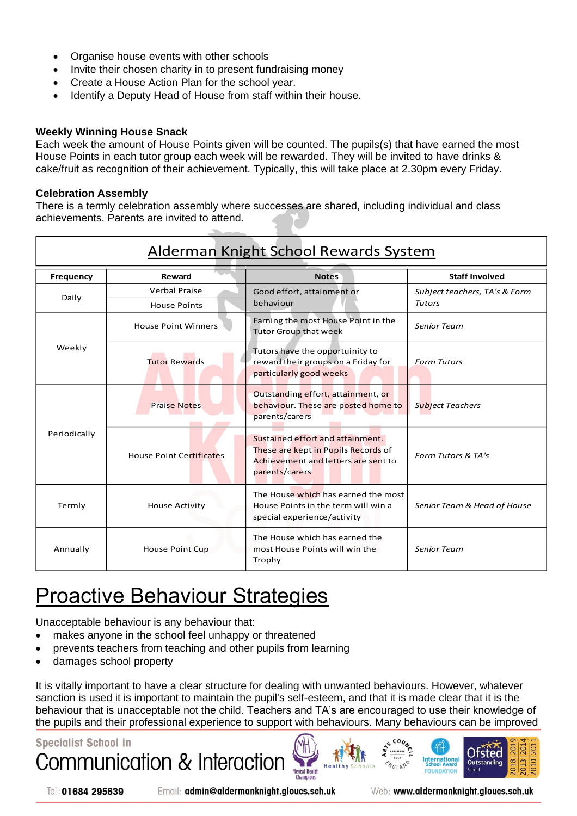- Organise house events with other schools
- Invite their chosen charity in to present fundraising money
- Create a House Action Plan for the school year.
- Identify a Deputy Head of House from staff within their house.

#### **Weekly Winning House Snack**

Each week the amount of House Points given will be counted. The pupils(s) that have earned the most House Points in each tutor group each week will be rewarded. They will be invited to have drinks & cake/fruit as recognition of their achievement. Typically, this will take place at 2.30pm every Friday.

#### **Celebration Assembly**

There is a termly celebration assembly where successes are shared, including individual and class achievements. Parents are invited to attend.

| Alderman Knight School Rewards System |                                 |                                                                                                                                  |                               |  |
|---------------------------------------|---------------------------------|----------------------------------------------------------------------------------------------------------------------------------|-------------------------------|--|
| <b>Frequency</b>                      | <b>Reward</b>                   | <b>Notes</b>                                                                                                                     | <b>Staff Involved</b>         |  |
| Daily                                 | <b>Verbal Praise</b>            | Good effort, attainment or                                                                                                       | Subject teachers, TA's & Form |  |
|                                       | <b>House Points</b>             | behaviour                                                                                                                        | <b>Tutors</b>                 |  |
|                                       | <b>House Point Winners</b>      | Earning the most House Point in the<br><b>Tutor Group that week</b>                                                              | <b>Senior Team</b>            |  |
| Weekly                                | <b>Tutor Rewards</b>            | Tutors have the opportuinity to<br>reward their groups on a Friday for<br>particularly good weeks                                | <b>Form Tutors</b>            |  |
| Periodically                          | <b>Praise Notes</b>             | Outstanding effort, attainment, or<br>behaviour. These are posted home to<br>parents/carers                                      | <b>Subject Teachers</b>       |  |
|                                       | <b>House Point Certificates</b> | Sustained effort and attainment.<br>These are kept in Pupils Records of<br>Achievement and letters are sent to<br>parents/carers | Form Tutors & TA's            |  |
| Termly                                | <b>House Activity</b>           | The House which has earned the most<br>House Points in the term will win a<br>special experience/activity                        | Senior Team & Head of House   |  |
| Annually<br><b>House Point Cup</b>    |                                 | The House which has earned the<br>most House Points will win the<br>Trophy                                                       | <b>Senior Team</b>            |  |

## <span id="page-7-0"></span>Proactive Behaviour Strategies

Unacceptable behaviour is any behaviour that:

- makes anyone in the school feel unhappy or threatened
- prevents teachers from teaching and other pupils from learning
- damages school property

It is vitally important to have a clear structure for dealing with unwanted behaviours. However, whatever sanction is used it is important to maintain the pupil's self-esteem, and that it is made clear that it is the behaviour that is unacceptable not the child. Teachers and TA's are encouraged to use their knowledge of the pupils and their professional experience to support with behaviours. Many behaviours can be improved

**Mental Health** 

## **Specialist School in** Communication & Interactio

Tel: 01684 295639

Email: admin@aldermanknight.gloucs.sch.uk

Web: www.aldermanknight.gloucs.sch.uk

Internationa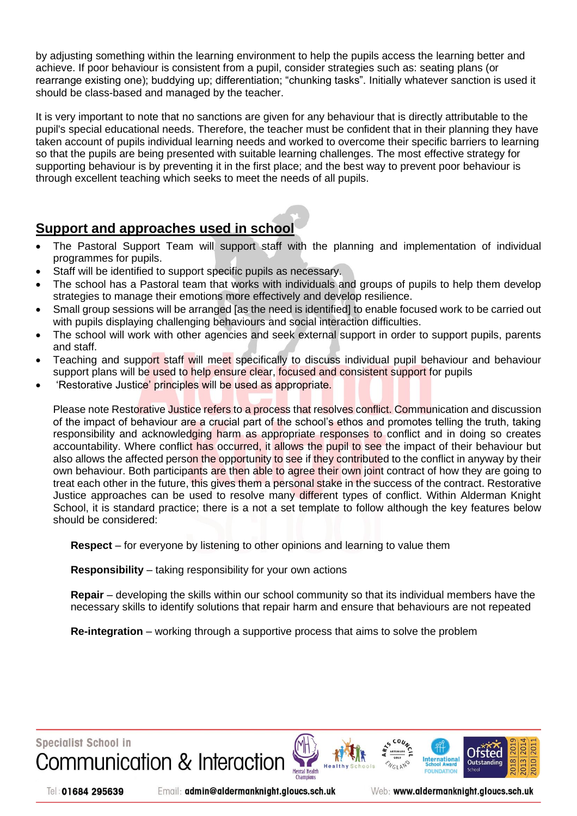by adjusting something within the learning environment to help the pupils access the learning better and achieve. If poor behaviour is consistent from a pupil, consider strategies such as: seating plans (or rearrange existing one); buddying up; differentiation; "chunking tasks". Initially whatever sanction is used it should be class-based and managed by the teacher.

It is very important to note that no sanctions are given for any behaviour that is directly attributable to the pupil's special educational needs. Therefore, the teacher must be confident that in their planning they have taken account of pupils individual learning needs and worked to overcome their specific barriers to learning so that the pupils are being presented with suitable learning challenges. The most effective strategy for supporting behaviour is by preventing it in the first place; and the best way to prevent poor behaviour is through excellent teaching which seeks to meet the needs of all pupils.

### <span id="page-8-0"></span>**Support and approaches used in school**

- The Pastoral Support Team will support staff with the planning and implementation of individual programmes for pupils.
- Staff will be identified to support specific pupils as necessary.
- The school has a Pastoral team that works with individuals and groups of pupils to help them develop strategies to manage their emotions more effectively and develop resilience.
- Small group sessions will be arranged [as the need is identified] to enable focused work to be carried out with pupils displaying challenging behaviours and social interaction difficulties.
- The school will work with other agencies and seek external support in order to support pupils, parents and staff.
- Teaching and support staff will meet specifically to discuss individual pupil behaviour and behaviour support plans will be used to help ensure clear, focused and consistent support for pupils
- 'Restorative Justice' principles will be used as appropriate.

Please note Restorative Justice refers to a process that resolves conflict. Communication and discussion of the impact of behaviour are a crucial part of the school's ethos and promotes telling the truth, taking responsibility and acknowledging harm as appropriate responses to conflict and in doing so creates accountability. Where conflict has occurred, it allows the pupil to see the impact of their behaviour but also allows the affected person the opportunity to see if they contributed to the conflict in anyway by their own behaviour. Both participants are then able to agree their own joint contract of how they are going to treat each other in the future, this gives them a personal stake in the success of the contract. Restorative Justice approaches can be used to resolve many different types of conflict. Within Alderman Knight School, it is standard practice; there is a not a set template to follow although the key features below should be considered:

**Respect** – for everyone by listening to other opinions and learning to value them

**Responsibility** – taking responsibility for your own actions

**Repair** – developing the skills within our school community so that its individual members have the necessary skills to identify solutions that repair harm and ensure that behaviours are not repeated

**Re-integration** – working through a supportive process that aims to solve the problem



Tel: 01684 295639

Email: admin@aldermanknight.gloucs.sch.uk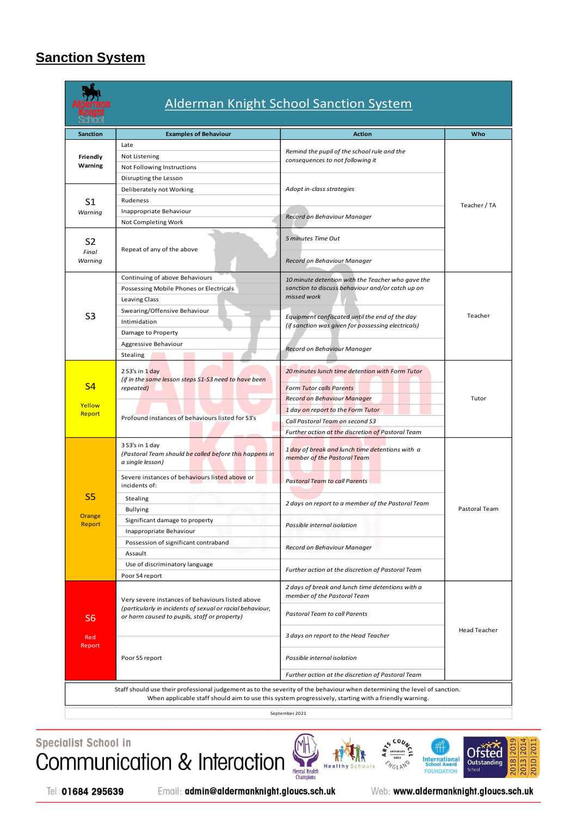## <span id="page-9-0"></span>**Sanction System**



## Alderman Knight School Sanction System

| <b>Sanction</b>                                                                                                                                                                                                                   | <b>Examples of Behaviour</b>                                                                                                                                  | <b>Action</b>                                                                                                            | Who                 |  |
|-----------------------------------------------------------------------------------------------------------------------------------------------------------------------------------------------------------------------------------|---------------------------------------------------------------------------------------------------------------------------------------------------------------|--------------------------------------------------------------------------------------------------------------------------|---------------------|--|
|                                                                                                                                                                                                                                   | Late                                                                                                                                                          |                                                                                                                          |                     |  |
| Friendly                                                                                                                                                                                                                          | Not Listening                                                                                                                                                 | Remind the pupil of the school rule and the<br>consequences to not following it                                          |                     |  |
| Warning                                                                                                                                                                                                                           | Not Following Instructions                                                                                                                                    |                                                                                                                          |                     |  |
|                                                                                                                                                                                                                                   | Disrupting the Lesson                                                                                                                                         |                                                                                                                          |                     |  |
| S <sub>1</sub>                                                                                                                                                                                                                    | Deliberately not Working                                                                                                                                      | Adopt in-class strategies                                                                                                |                     |  |
|                                                                                                                                                                                                                                   | Rudeness                                                                                                                                                      |                                                                                                                          | Teacher / TA        |  |
| Warning                                                                                                                                                                                                                           | Inappropriate Behaviour                                                                                                                                       | Record on Behaviour Manager                                                                                              |                     |  |
|                                                                                                                                                                                                                                   | Not Completing Work                                                                                                                                           |                                                                                                                          |                     |  |
| S <sub>2</sub><br>Final<br>Warning                                                                                                                                                                                                | Repeat of any of the above                                                                                                                                    | 5 minutes Time Out<br>Record on Behaviour Manager                                                                        |                     |  |
|                                                                                                                                                                                                                                   | Continuing of above Behaviours                                                                                                                                | 10 minute detention with the Teacher who gave the                                                                        |                     |  |
|                                                                                                                                                                                                                                   | Possessing Mobile Phones or Electricals                                                                                                                       | sanction to discuss behaviour and/or catch up on                                                                         |                     |  |
|                                                                                                                                                                                                                                   | Leaving Class                                                                                                                                                 | missed work                                                                                                              |                     |  |
| S <sub>3</sub>                                                                                                                                                                                                                    | Swearing/Offensive Behaviour                                                                                                                                  |                                                                                                                          | Teacher             |  |
|                                                                                                                                                                                                                                   | Intimidation                                                                                                                                                  | Equipment confiscated until the end of the day<br>(if sanction was given for possessing electricals)                     |                     |  |
|                                                                                                                                                                                                                                   | Damage to Property                                                                                                                                            |                                                                                                                          |                     |  |
|                                                                                                                                                                                                                                   | Aggressive Behaviour                                                                                                                                          | Record on Behaviour Manager                                                                                              |                     |  |
|                                                                                                                                                                                                                                   | Stealing                                                                                                                                                      |                                                                                                                          |                     |  |
| S <sub>4</sub>                                                                                                                                                                                                                    | 2 S3's in 1 day<br>(if in the same lesson steps S1-S3 need to have been<br>repeated)                                                                          | 20 minutes lunch time detention with Form Tutor<br><b>Form Tutor calls Parents</b><br><b>Record on Behaviour Manager</b> | Tutor               |  |
| Yellow                                                                                                                                                                                                                            | Profound instances of behaviours listed for S3's                                                                                                              | 1 day on report to the Form Tutor                                                                                        |                     |  |
| Report                                                                                                                                                                                                                            |                                                                                                                                                               | Call Pastoral Team on second S3                                                                                          |                     |  |
|                                                                                                                                                                                                                                   |                                                                                                                                                               | Further action at the discretion of Pastoral Team                                                                        |                     |  |
|                                                                                                                                                                                                                                   | 3 S3's in 1 day<br>(Pastoral Team should be called before this happens in<br>a single lesson)                                                                 | 1 day of break and lunch time detentions with a<br>member of the Pastoral Team                                           |                     |  |
|                                                                                                                                                                                                                                   | Severe instances of behaviours listed above or<br>incidents of:                                                                                               | <b>Pastoral Team to call Parents</b>                                                                                     |                     |  |
| S <sub>5</sub>                                                                                                                                                                                                                    | Stealing                                                                                                                                                      | 2 days on report to a member of the Pastoral Team                                                                        |                     |  |
|                                                                                                                                                                                                                                   | <b>Bullying</b>                                                                                                                                               |                                                                                                                          | Pastoral Team       |  |
| Orange<br>Report                                                                                                                                                                                                                  | Significant damage to property                                                                                                                                | Possible internal isolation                                                                                              |                     |  |
|                                                                                                                                                                                                                                   | Inappropriate Behaviour                                                                                                                                       |                                                                                                                          |                     |  |
|                                                                                                                                                                                                                                   | Possession of significant contraband                                                                                                                          | Record on Behaviour Manager                                                                                              |                     |  |
|                                                                                                                                                                                                                                   | Assault                                                                                                                                                       |                                                                                                                          |                     |  |
|                                                                                                                                                                                                                                   | Use of discriminatory language                                                                                                                                | Further action at the discretion of Pastoral Team                                                                        |                     |  |
|                                                                                                                                                                                                                                   | Poor S4 report                                                                                                                                                |                                                                                                                          |                     |  |
| S <sub>6</sub>                                                                                                                                                                                                                    | Very severe instances of behaviours listed above<br>(particularly in incidents of sexual or racial behaviour,<br>or harm caused to pupils, staff or property) | 2 days of break and lunch time detentions with a<br>member of the Pastoral Team                                          |                     |  |
|                                                                                                                                                                                                                                   |                                                                                                                                                               | Pastoral Team to call Parents                                                                                            |                     |  |
| Red<br>Report                                                                                                                                                                                                                     |                                                                                                                                                               | 3 days on report to the Head Teacher                                                                                     | <b>Head Teacher</b> |  |
|                                                                                                                                                                                                                                   | Poor S5 report                                                                                                                                                | Possible internal isolation                                                                                              |                     |  |
|                                                                                                                                                                                                                                   |                                                                                                                                                               | Further action at the discretion of Pastoral Team                                                                        |                     |  |
| Staff should use their professional judgement as to the severity of the behaviour when determining the level of sanction.<br>When applicable staff should aim to use this system progressively, starting with a friendly warning. |                                                                                                                                                               |                                                                                                                          |                     |  |

September 2021

Specialist School in Communication & Interaction







Tel: 01684 295639

Email: admin@aldermanknight.gloucs.sch.uk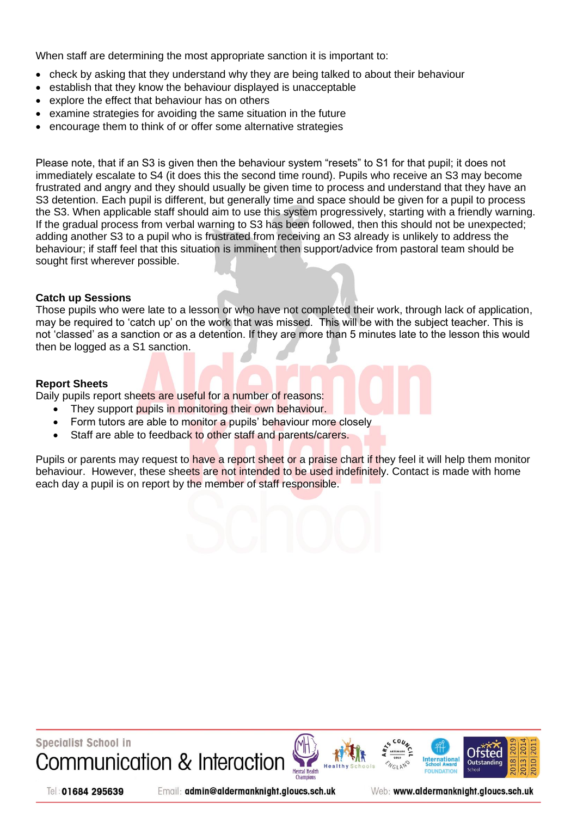When staff are determining the most appropriate sanction it is important to:

- check by asking that they understand why they are being talked to about their behaviour
- establish that they know the behaviour displayed is unacceptable
- explore the effect that behaviour has on others
- examine strategies for avoiding the same situation in the future
- encourage them to think of or offer some alternative strategies

Please note, that if an S3 is given then the behaviour system "resets" to S1 for that pupil; it does not immediately escalate to S4 (it does this the second time round). Pupils who receive an S3 may become frustrated and angry and they should usually be given time to process and understand that they have an S3 detention. Each pupil is different, but generally time and space should be given for a pupil to process the S3. When applicable staff should aim to use this system progressively, starting with a friendly warning. If the gradual process from verbal warning to S3 has been followed, then this should not be unexpected; adding another S3 to a pupil who is frustrated from receiving an S3 already is unlikely to address the behaviour; if staff feel that this situation is imminent then support/advice from pastoral team should be sought first wherever possible.

#### **Catch up Sessions**

Those pupils who were late to a lesson or who have not completed their work, through lack of application, may be required to 'catch up' on the work that was missed. This will be with the subject teacher. This is not 'classed' as a sanction or as a detention. If they are more than 5 minutes late to the lesson this would then be logged as a S1 sanction.

#### **Report Sheets**

Daily pupils report sheets are useful for a number of reasons:

- They support pupils in monitoring their own behaviour.
- Form tutors are able to monitor a pupils' behaviour more closely
- Staff are able to feedback to other staff and parents/carers.

Pupils or parents may request to have a report sheet or a praise chart if they feel it will help them monitor behaviour. However, these sheets are not intended to be used indefinitely. Contact is made with home each day a pupil is on report by the member of staff responsible.

**Specialist School in** Communication & Interaction







Tel: 01684 295639

Email: admin@aldermanknight.gloucs.sch.uk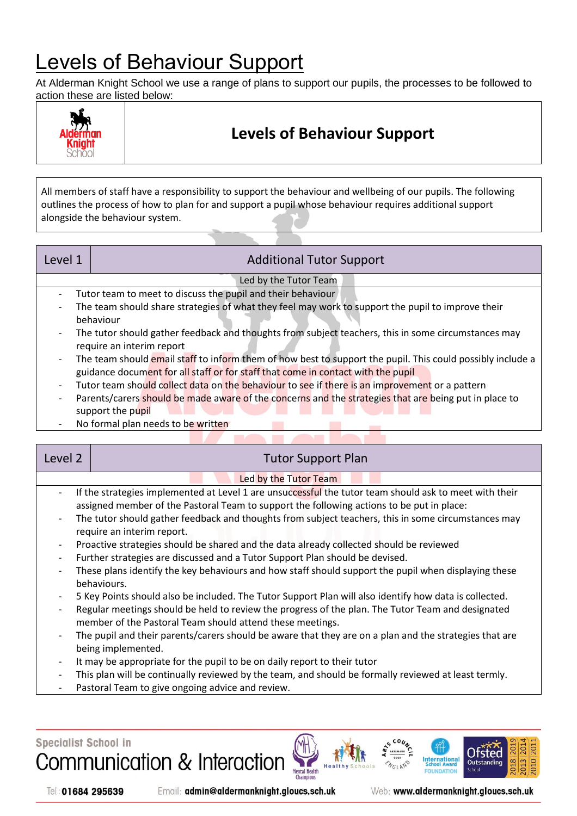## <span id="page-11-0"></span>Levels of Behaviour Support

At Alderman Knight School we use a range of plans to support our pupils, the processes to be followed to action these are listed below:



## **Levels of Behaviour Support**

All members of staff have a responsibility to support the behaviour and wellbeing of our pupils. The following outlines the process of how to plan for and support a pupil whose behaviour requires additional support alongside the behaviour system.

| Level 1                  | <b>Additional Tutor Support</b>                                                                            |  |  |  |  |
|--------------------------|------------------------------------------------------------------------------------------------------------|--|--|--|--|
|                          | Led by the Tutor Team                                                                                      |  |  |  |  |
|                          | Tutor team to meet to discuss the pupil and their behaviour                                                |  |  |  |  |
| $\overline{\phantom{0}}$ | The team should share strategies of what they feel may work to support the pupil to improve their          |  |  |  |  |
|                          | behaviour                                                                                                  |  |  |  |  |
| $\overline{\phantom{a}}$ | The tutor should gather feedback and thoughts from subject teachers, this in some circumstances may        |  |  |  |  |
|                          | require an interim report                                                                                  |  |  |  |  |
| $\overline{\phantom{a}}$ | The team should email staff to inform them of how best to support the pupil. This could possibly include a |  |  |  |  |
|                          | guidance document for all staff or for staff that come in contact with the pupil                           |  |  |  |  |
|                          | Tutor team should collect data on the behaviour to see if there is an improvement or a pattern             |  |  |  |  |
| $\overline{\phantom{a}}$ | Parents/carers should be made aware of the concerns and the strategies that are being put in place to      |  |  |  |  |
|                          | support the pupil                                                                                          |  |  |  |  |
|                          | Ala Canceral calant na adalaha lagu chutatanan                                                             |  |  |  |  |

- No formal plan needs to be written

| Level 2                                                                                                                                                                                                                                                                       | <b>Tutor Support Plan</b>                                                                                                                                                                                                                                                                                                                                                                                                                                                                                                                                                                                                                                                                                                                                                                                                                                                                                                                                                                                                                                                                                                                                                                                                                                                                      |  |  |  |  |  |
|-------------------------------------------------------------------------------------------------------------------------------------------------------------------------------------------------------------------------------------------------------------------------------|------------------------------------------------------------------------------------------------------------------------------------------------------------------------------------------------------------------------------------------------------------------------------------------------------------------------------------------------------------------------------------------------------------------------------------------------------------------------------------------------------------------------------------------------------------------------------------------------------------------------------------------------------------------------------------------------------------------------------------------------------------------------------------------------------------------------------------------------------------------------------------------------------------------------------------------------------------------------------------------------------------------------------------------------------------------------------------------------------------------------------------------------------------------------------------------------------------------------------------------------------------------------------------------------|--|--|--|--|--|
|                                                                                                                                                                                                                                                                               | Led by the Tutor Team                                                                                                                                                                                                                                                                                                                                                                                                                                                                                                                                                                                                                                                                                                                                                                                                                                                                                                                                                                                                                                                                                                                                                                                                                                                                          |  |  |  |  |  |
| $\qquad \qquad -$<br>$\overline{\phantom{a}}$<br>$\overline{\phantom{a}}$<br>$\overline{\phantom{a}}$<br>$\overline{\phantom{a}}$<br>$\overline{\phantom{a}}$<br>$\overline{\phantom{a}}$<br>$\overline{\phantom{a}}$<br>$\overline{\phantom{a}}$<br>$\overline{\phantom{a}}$ | If the strategies implemented at Level 1 are unsuccessful the tutor team should ask to meet with their<br>assigned member of the Pastoral Team to support the following actions to be put in place:<br>The tutor should gather feedback and thoughts from subject teachers, this in some circumstances may<br>require an interim report.<br>Proactive strategies should be shared and the data already collected should be reviewed<br>Further strategies are discussed and a Tutor Support Plan should be devised.<br>These plans identify the key behaviours and how staff should support the pupil when displaying these<br>behaviours.<br>5 Key Points should also be included. The Tutor Support Plan will also identify how data is collected.<br>Regular meetings should be held to review the progress of the plan. The Tutor Team and designated<br>member of the Pastoral Team should attend these meetings.<br>The pupil and their parents/carers should be aware that they are on a plan and the strategies that are<br>being implemented.<br>It may be appropriate for the pupil to be on daily report to their tutor<br>This plan will be continually reviewed by the team, and should be formally reviewed at least termly.<br>Pastoral Team to give ongoing advice and review. |  |  |  |  |  |



Tel: 01684 295639

Email: admin@aldermanknight.gloucs.sch.uk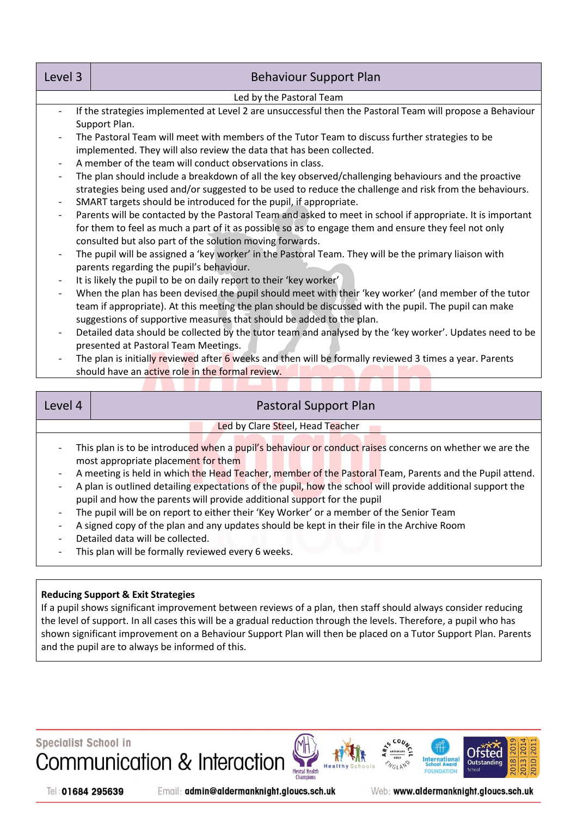| Level 3<br><b>Behaviour Support Plan</b> |                                                                                                            |  |  |  |
|------------------------------------------|------------------------------------------------------------------------------------------------------------|--|--|--|
|                                          | Led by the Pastoral Team                                                                                   |  |  |  |
|                                          | If the strategies implemented at Level 2 are unsuccessful then the Pastoral Team will propose a Behaviour  |  |  |  |
|                                          | Support Plan.                                                                                              |  |  |  |
| $\overline{\phantom{a}}$                 | The Pastoral Team will meet with members of the Tutor Team to discuss further strategies to be             |  |  |  |
|                                          | implemented. They will also review the data that has been collected.                                       |  |  |  |
| $\overline{\phantom{a}}$                 | A member of the team will conduct observations in class.                                                   |  |  |  |
| $\overline{\phantom{a}}$                 | The plan should include a breakdown of all the key observed/challenging behaviours and the proactive       |  |  |  |
|                                          | strategies being used and/or suggested to be used to reduce the challenge and risk from the behaviours.    |  |  |  |
| $\overline{\phantom{a}}$                 | SMART targets should be introduced for the pupil, if appropriate.                                          |  |  |  |
| $\overline{\phantom{a}}$                 | Parents will be contacted by the Pastoral Team and asked to meet in school if appropriate. It is important |  |  |  |
|                                          | for them to feel as much a part of it as possible so as to engage them and ensure they feel not only       |  |  |  |
|                                          | consulted but also part of the solution moving forwards.                                                   |  |  |  |
| $\overline{\phantom{a}}$                 | The pupil will be assigned a 'key worker' in the Pastoral Team. They will be the primary liaison with      |  |  |  |
|                                          | parents regarding the pupil's behaviour.                                                                   |  |  |  |
| $\overline{\phantom{a}}$                 | It is likely the pupil to be on daily report to their 'key worker'                                         |  |  |  |
|                                          | When the plan has been devised the pupil should meet with their 'key worker' (and member of the tutor      |  |  |  |
|                                          | team if appropriate). At this meeting the plan should be discussed with the pupil. The pupil can make      |  |  |  |
|                                          | suggestions of supportive measures that should be added to the plan.                                       |  |  |  |
| $\overline{\phantom{a}}$                 | Detailed data should be collected by the tutor team and analysed by the 'key worker'. Updates need to be   |  |  |  |
|                                          | presented at Pastoral Team Meetings.                                                                       |  |  |  |
| $\overline{\phantom{a}}$                 | The plan is initially reviewed after 6 weeks and then will be formally reviewed 3 times a year. Parents    |  |  |  |
|                                          | should have an active role in the formal review.                                                           |  |  |  |

| Level 4                                                                                                                             | Pastoral Support Plan                                                                                      |  |  |  |  |  |
|-------------------------------------------------------------------------------------------------------------------------------------|------------------------------------------------------------------------------------------------------------|--|--|--|--|--|
|                                                                                                                                     | Led by Clare Steel, Head Teacher                                                                           |  |  |  |  |  |
| This plan is to be introduced when a pupil's behaviour or conduct raises concerns on whether we are the<br>$\overline{\phantom{a}}$ |                                                                                                            |  |  |  |  |  |
|                                                                                                                                     | most appropriate placement for them                                                                        |  |  |  |  |  |
| $\overline{\phantom{a}}$                                                                                                            | A meeting is held in which the Head Teacher, member of the Pastoral Team, Parents and the Pupil attend.    |  |  |  |  |  |
|                                                                                                                                     | A plan is outlined detailing expectations of the pupil, how the school will provide additional support the |  |  |  |  |  |

- pupil and how the parents will provide additional support for the pupil
- The pupil will be on report to either their 'Key Worker' or a member of the Senior Team
- A signed copy of the plan and any updates should be kept in their file in the Archive Room
- Detailed data will be collected.
- This plan will be formally reviewed every 6 weeks.

#### **Reducing Support & Exit Strategies**

If a pupil shows significant improvement between reviews of a plan, then staff should always consider reducing the level of support. In all cases this will be a gradual reduction through the levels. Therefore, a pupil who has shown significant improvement on a Behaviour Support Plan will then be placed on a Tutor Support Plan. Parents and the pupil are to always be informed of this.



Tel: 01684 295639

Email: admin@aldermanknight.gloucs.sch.uk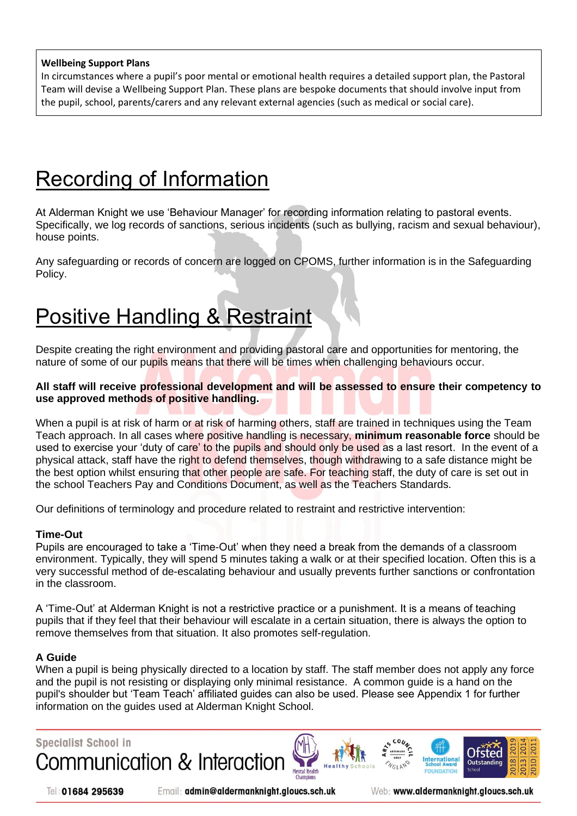#### **Wellbeing Support Plans**

In circumstances where a pupil's poor mental or emotional health requires a detailed support plan, the Pastoral Team will devise a Wellbeing Support Plan. These plans are bespoke documents that should involve input from the pupil, school, parents/carers and any relevant external agencies (such as medical or social care).

## <span id="page-13-0"></span>Recording of Information

At Alderman Knight we use 'Behaviour Manager' for recording information relating to pastoral events. Specifically, we log records of sanctions, serious incidents (such as bullying, racism and sexual behaviour), house points.

Any safeguarding or records of concern are logged on CPOMS, further information is in the Safeguarding Policy.

## <span id="page-13-1"></span>Positive Handling & Restraint

Despite creating the right environment and providing pastoral care and opportunities for mentoring, the nature of some of our pupils means that there will be times when challenging behaviours occur.

#### **All staff will receive professional development and will be assessed to ensure their competency to use approved methods of positive handling.**

When a pupil is at risk of harm or at risk of harming others, staff are trained in techniques using the Team Teach approach. In all cases where positive handling is necessary, **minimum reasonable force** should be used to exercise your 'duty of care' to the pupils and should only be used as a last resort. In the event of a physical attack, staff have the right to defend themselves, though withdrawing to a safe distance might be the best option whilst ensuring that other people are safe. For teaching staff, the duty of care is set out in the school Teachers Pay and Conditions Document, as well as the Teachers Standards.

Our definitions of terminology and procedure related to restraint and restrictive intervention:

#### **Time-Out**

Pupils are encouraged to take a 'Time-Out' when they need a break from the demands of a classroom environment. Typically, they will spend 5 minutes taking a walk or at their specified location. Often this is a very successful method of de-escalating behaviour and usually prevents further sanctions or confrontation in the classroom.

A 'Time-Out' at Alderman Knight is not a restrictive practice or a punishment. It is a means of teaching pupils that if they feel that their behaviour will escalate in a certain situation, there is always the option to remove themselves from that situation. It also promotes self-regulation.

#### **A Guide**

When a pupil is being physically directed to a location by staff. The staff member does not apply any force and the pupil is not resisting or displaying only minimal resistance. A common guide is a hand on the pupil's shoulder but 'Team Teach' affiliated guides can also be used. Please see Appendix 1 for further information on the guides used at Alderman Knight School.



Tel: 01684 295639

Email: admin@aldermanknight.gloucs.sch.uk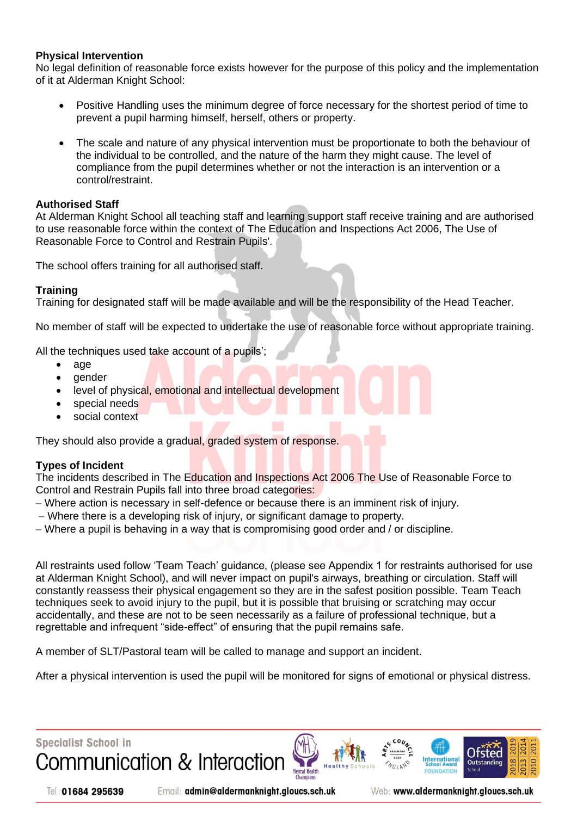#### **Physical Intervention**

No legal definition of reasonable force exists however for the purpose of this policy and the implementation of it at Alderman Knight School:

- Positive Handling uses the minimum degree of force necessary for the shortest period of time to prevent a pupil harming himself, herself, others or property.
- The scale and nature of any physical intervention must be proportionate to both the behaviour of the individual to be controlled, and the nature of the harm they might cause. The level of compliance from the pupil determines whether or not the interaction is an intervention or a control/restraint.

#### **Authorised Staff**

At Alderman Knight School all teaching staff and learning support staff receive training and are authorised to use reasonable force within the context of The Education and Inspections Act 2006, The Use of Reasonable Force to Control and Restrain Pupils'.

The school offers training for all authorised staff.

#### **Training**

Training for designated staff will be made available and will be the responsibility of the Head Teacher.

No member of staff will be expected to undertake the use of reasonable force without appropriate training.

All the techniques used take account of a pupils';

- age
- gender
- level of physical, emotional and intellectual development
- special needs
- social context

They should also provide a gradual, graded system of response.

#### **Types of Incident**

The incidents described in The Education and Inspections Act 2006 The Use of Reasonable Force to Control and Restrain Pupils fall into three broad categories:

- − Where action is necessary in self-defence or because there is an imminent risk of injury.
- − Where there is a developing risk of injury, or significant damage to property.
- − Where a pupil is behaving in a way that is compromising good order and / or discipline.

All restraints used follow 'Team Teach' guidance, (please see Appendix 1 for restraints authorised for use at Alderman Knight School), and will never impact on pupil's airways, breathing or circulation. Staff will constantly reassess their physical engagement so they are in the safest position possible. Team Teach techniques seek to avoid injury to the pupil, but it is possible that bruising or scratching may occur accidentally, and these are not to be seen necessarily as a failure of professional technique, but a regrettable and infrequent "side-effect" of ensuring that the pupil remains safe.

A member of SLT/Pastoral team will be called to manage and support an incident.

After a physical intervention is used the pupil will be monitored for signs of emotional or physical distress.



Email: admin@aldermanknight.gloucs.sch.uk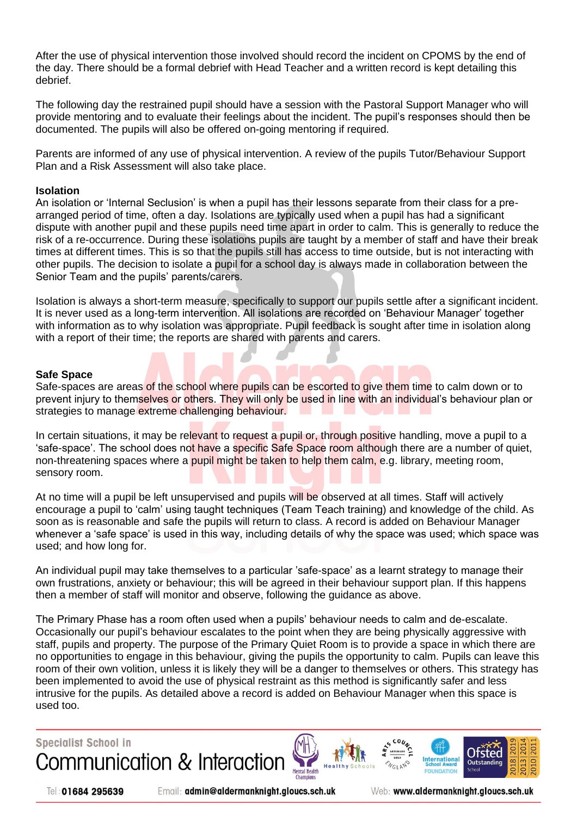After the use of physical intervention those involved should record the incident on CPOMS by the end of the day. There should be a formal debrief with Head Teacher and a written record is kept detailing this debrief.

The following day the restrained pupil should have a session with the Pastoral Support Manager who will provide mentoring and to evaluate their feelings about the incident. The pupil's responses should then be documented. The pupils will also be offered on-going mentoring if required.

Parents are informed of any use of physical intervention. A review of the pupils Tutor/Behaviour Support Plan and a Risk Assessment will also take place.

#### **Isolation**

An isolation or 'Internal Seclusion' is when a pupil has their lessons separate from their class for a prearranged period of time, often a day. Isolations are typically used when a pupil has had a significant dispute with another pupil and these pupils need time apart in order to calm. This is generally to reduce the risk of a re-occurrence. During these isolations pupils are taught by a member of staff and have their break times at different times. This is so that the pupils still has access to time outside, but is not interacting with other pupils. The decision to isolate a pupil for a school day is always made in collaboration between the Senior Team and the pupils' parents/carers.

Isolation is always a short-term measure, specifically to support our pupils settle after a significant incident. It is never used as a long-term intervention. All isolations are recorded on 'Behaviour Manager' together with information as to why isolation was appropriate. Pupil feedback is sought after time in isolation along with a report of their time; the reports are shared with parents and carers.

#### **Safe Space**

Safe-spaces are areas of the school where pupils can be escorted to give them time to calm down or to prevent injury to themselves or others. They will only be used in line with an individual's behaviour plan or strategies to manage extreme challenging behaviour.

In certain situations, it may be relevant to request a pupil or, through positive handling, move a pupil to a 'safe-space'. The school does not have a specific Safe Space room although there are a number of quiet, non-threatening spaces where a pupil might be taken to help them calm, e.g. library, meeting room, sensory room.

At no time will a pupil be left unsupervised and pupils will be observed at all times. Staff will actively encourage a pupil to 'calm' using taught techniques (Team Teach training) and knowledge of the child. As soon as is reasonable and safe the pupils will return to class. A record is added on Behaviour Manager whenever a 'safe space' is used in this way, including details of why the space was used; which space was used; and how long for.

An individual pupil may take themselves to a particular 'safe-space' as a learnt strategy to manage their own frustrations, anxiety or behaviour; this will be agreed in their behaviour support plan. If this happens then a member of staff will monitor and observe, following the guidance as above.

The Primary Phase has a room often used when a pupils' behaviour needs to calm and de-escalate. Occasionally our pupil's behaviour escalates to the point when they are being physically aggressive with staff, pupils and property. The purpose of the Primary Quiet Room is to provide a space in which there are no opportunities to engage in this behaviour, giving the pupils the opportunity to calm. Pupils can leave this room of their own volition, unless it is likely they will be a danger to themselves or others. This strategy has been implemented to avoid the use of physical restraint as this method is significantly safer and less intrusive for the pupils. As detailed above a record is added on Behaviour Manager when this space is used too.

**Specialist School in** 

Communication & Interaction





Tel: 01684 295639

Email: admin@aldermanknight.gloucs.sch.uk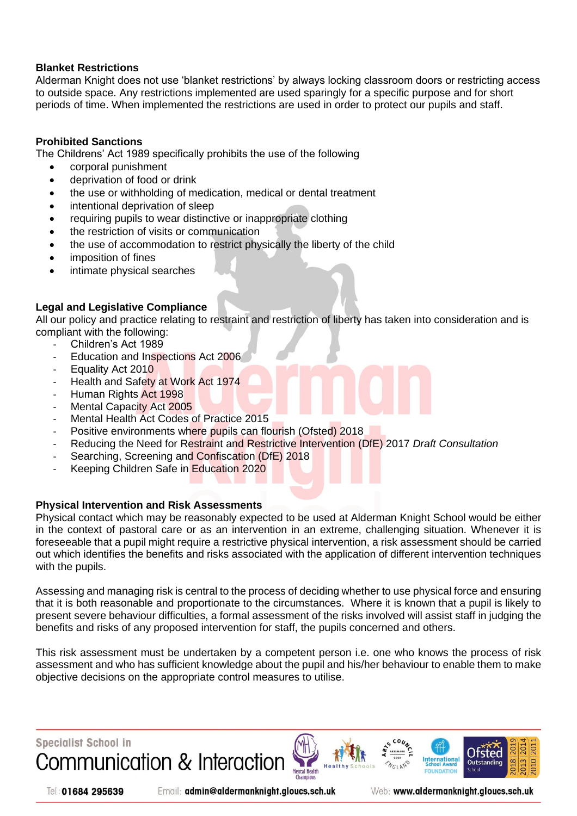#### **Blanket Restrictions**

Alderman Knight does not use 'blanket restrictions' by always locking classroom doors or restricting access to outside space. Any restrictions implemented are used sparingly for a specific purpose and for short periods of time. When implemented the restrictions are used in order to protect our pupils and staff.

#### **Prohibited Sanctions**

The Childrens' Act 1989 specifically prohibits the use of the following

- corporal punishment
- deprivation of food or drink
- the use or withholding of medication, medical or dental treatment
- intentional deprivation of sleep
- requiring pupils to wear distinctive or inappropriate clothing
- the restriction of visits or communication
- the use of accommodation to restrict physically the liberty of the child
- imposition of fines
- intimate physical searches

#### **Legal and Legislative Compliance**

All our policy and practice relating to restraint and restriction of liberty has taken into consideration and is compliant with the following:

- Children's Act 1989
- Education and Inspections Act 2006
- Equality Act 2010
- Health and Safety at Work Act 1974
- Human Rights Act 1998
- Mental Capacity Act 2005
- Mental Health Act Codes of Practice 2015
- Positive environments where pupils can flourish (Ofsted) 2018
- Reducing the Need for Restraint and Restrictive Intervention (DfE) 2017 *Draft Consultation*
- Searching, Screening and Confiscation (DfE) 2018
- Keeping Children Safe in Education 2020

#### **Physical Intervention and Risk Assessments**

Physical contact which may be reasonably expected to be used at Alderman Knight School would be either in the context of pastoral care or as an intervention in an extreme, challenging situation. Whenever it is foreseeable that a pupil might require a restrictive physical intervention, a risk assessment should be carried out which identifies the benefits and risks associated with the application of different intervention techniques with the pupils.

Assessing and managing risk is central to the process of deciding whether to use physical force and ensuring that it is both reasonable and proportionate to the circumstances. Where it is known that a pupil is likely to present severe behaviour difficulties, a formal assessment of the risks involved will assist staff in judging the benefits and risks of any proposed intervention for staff, the pupils concerned and others.

This risk assessment must be undertaken by a competent person i.e. one who knows the process of risk assessment and who has sufficient knowledge about the pupil and his/her behaviour to enable them to make objective decisions on the appropriate control measures to utilise.



Tel: 01684 295639

Email: admin@aldermanknight.gloucs.sch.uk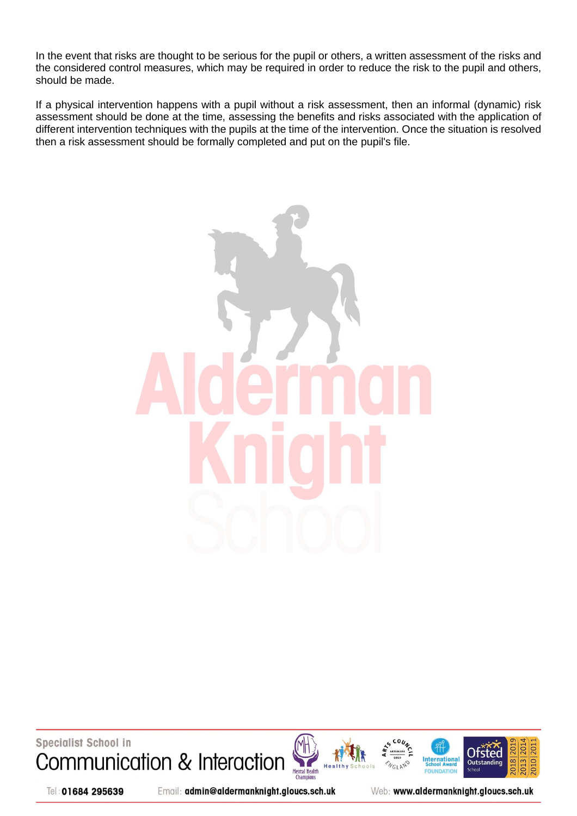In the event that risks are thought to be serious for the pupil or others, a written assessment of the risks and the considered control measures, which may be required in order to reduce the risk to the pupil and others, should be made.

If a physical intervention happens with a pupil without a risk assessment, then an informal (dynamic) risk assessment should be done at the time, assessing the benefits and risks associated with the application of different intervention techniques with the pupils at the time of the intervention. Once the situation is resolved then a risk assessment should be formally completed and put on the pupil's file.



Specialist School in Communication & Interaction







Tel: 01684 295639

Email: admin@aldermanknight.gloucs.sch.uk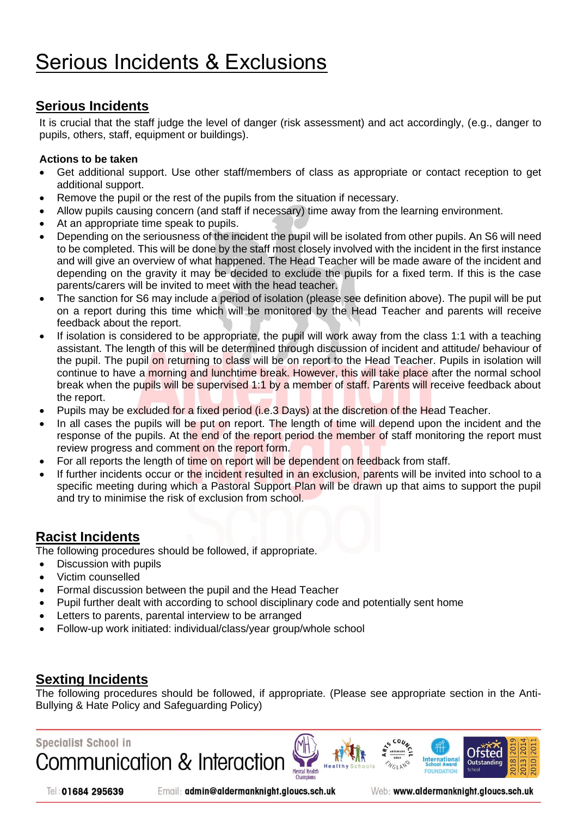### <span id="page-18-0"></span>**Serious Incidents**

It is crucial that the staff judge the level of danger (risk assessment) and act accordingly, (e.g., danger to pupils, others, staff, equipment or buildings).

#### **Actions to be taken**

- Get additional support. Use other staff/members of class as appropriate or contact reception to get additional support.
- Remove the pupil or the rest of the pupils from the situation if necessary.
- Allow pupils causing concern (and staff if necessary) time away from the learning environment.
- At an appropriate time speak to pupils.
- Depending on the seriousness of the incident the pupil will be isolated from other pupils. An S6 will need to be completed. This will be done by the staff most closely involved with the incident in the first instance and will give an overview of what happened. The Head Teacher will be made aware of the incident and depending on the gravity it may be decided to exclude the pupils for a fixed term. If this is the case parents/carers will be invited to meet with the head teacher.
- The sanction for S6 may include a period of isolation (please see definition above). The pupil will be put on a report during this time which will be monitored by the Head Teacher and parents will receive feedback about the report.
- If isolation is considered to be appropriate, the pupil will work away from the class 1:1 with a teaching assistant. The length of this will be determined through discussion of incident and attitude/ behaviour of the pupil. The pupil on returning to class will be on report to the Head Teacher. Pupils in isolation will continue to have a morning and lunchtime break. However, this will take place after the normal school break when the pupils will be supervised 1:1 by a member of staff. Parents will receive feedback about the report.
- Pupils may be excluded for a fixed period (i.e.3 Days) at the discretion of the Head Teacher.
- In all cases the pupils will be put on report. The length of time will depend upon the incident and the response of the pupils. At the end of the report period the member of staff monitoring the report must review progress and comment on the report form.
- For all reports the length of time on report will be dependent on feedback from staff.
- If further incidents occur or the incident resulted in an exclusion, parents will be invited into school to a specific meeting during which a Pastoral Support Plan will be drawn up that aims to support the pupil and try to minimise the risk of exclusion from school.

### <span id="page-18-1"></span>**Racist Incidents**

The following procedures should be followed, if appropriate.

- Discussion with pupils
- Victim counselled
- Formal discussion between the pupil and the Head Teacher
- Pupil further dealt with according to school disciplinary code and potentially sent home
- Letters to parents, parental interview to be arranged
- Follow-up work initiated: individual/class/year group/whole school

### <span id="page-18-2"></span>**Sexting Incidents**

The following procedures should be followed, if appropriate. (Please see appropriate section in the Anti-Bullying & Hate Policy and Safeguarding Policy)

**Mental Health** 

### **Specialist School in**

Communication & Interaction

Tel: 01684 295639

Email: admin@aldermanknight.gloucs.sch.uk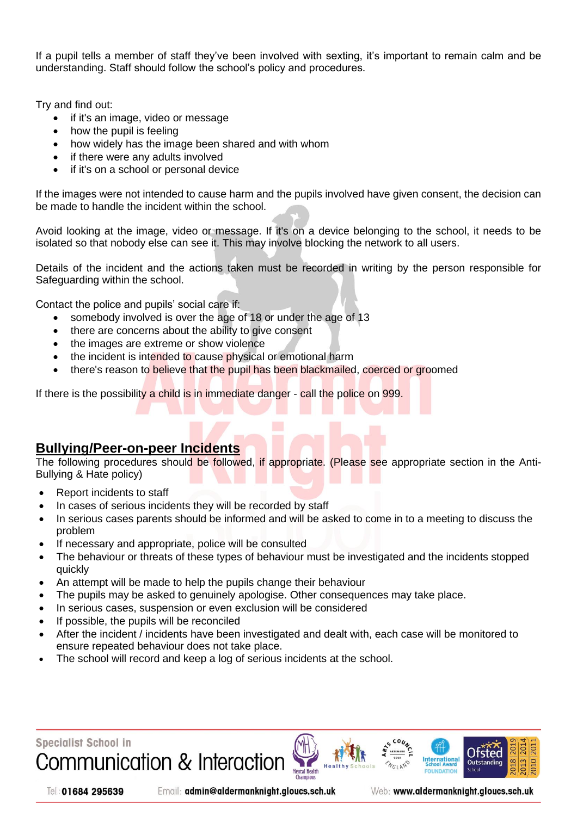If a pupil tells a member of staff they've been involved with sexting, it's important to remain calm and be understanding. Staff should follow the school's policy and procedures.

Try and find out:

- if it's an image, video or message
- how the pupil is feeling
- how widely has the image been shared and with whom
- if there were any adults involved
- if it's on a school or personal device

If the images were not intended to cause harm and the pupils involved have given consent, the decision can be made to handle the incident within the school.

Avoid looking at the image, video or message. If it's on a device belonging to the school, it needs to be isolated so that nobody else can see it. This may involve blocking the network to all users.

Details of the incident and the actions taken must be recorded in writing by the person responsible for Safeguarding within the school.

Contact the police and pupils' social care if:

- somebody involved is over the age of 18 or under the age of 13
- there are concerns about the ability to give consent
- the images are extreme or show violence
- the incident is intended to cause physical or emotional harm
- there's reason to believe that the pupil has been blackmailed, coerced or groomed

If there is the possibility a child is in immediate danger - call the police on 999.

#### <span id="page-19-0"></span>**Bullying/Peer-on-peer Incidents**

The following procedures should be followed, if appropriate. (Please see appropriate section in the Anti-Bullying & Hate policy)

- Report incidents to staff
- In cases of serious incidents they will be recorded by staff
- In serious cases parents should be informed and will be asked to come in to a meeting to discuss the problem
- If necessary and appropriate, police will be consulted
- The behaviour or threats of these types of behaviour must be investigated and the incidents stopped quickly
- An attempt will be made to help the pupils change their behaviour
- The pupils may be asked to genuinely apologise. Other consequences may take place.
- In serious cases, suspension or even exclusion will be considered
- If possible, the pupils will be reconciled
- After the incident / incidents have been investigated and dealt with, each case will be monitored to ensure repeated behaviour does not take place.
- The school will record and keep a log of serious incidents at the school.



Email: admin@aldermanknight.gloucs.sch.uk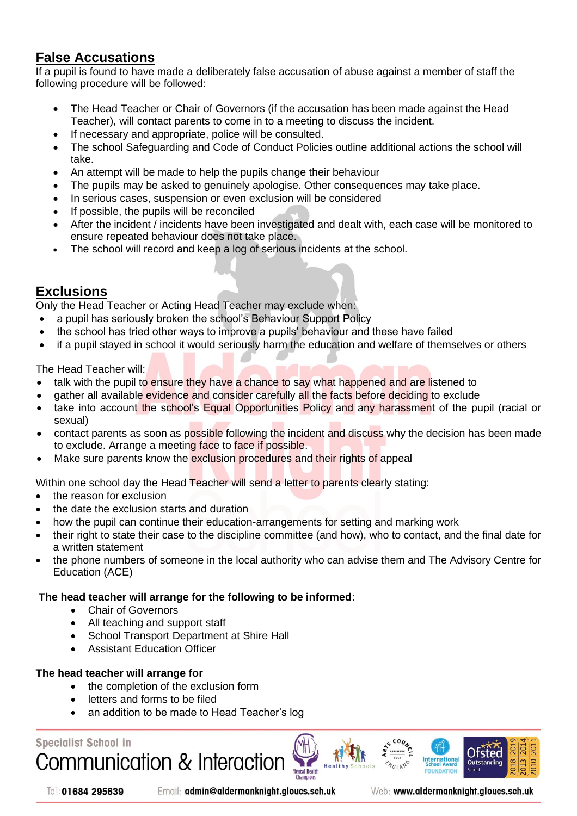### <span id="page-20-0"></span>**False Accusations**

If a pupil is found to have made a deliberately false accusation of abuse against a member of staff the following procedure will be followed:

- The Head Teacher or Chair of Governors (if the accusation has been made against the Head Teacher), will contact parents to come in to a meeting to discuss the incident.
- If necessary and appropriate, police will be consulted.
- The school Safeguarding and Code of Conduct Policies outline additional actions the school will take.
- An attempt will be made to help the pupils change their behaviour
- The pupils may be asked to genuinely apologise. Other consequences may take place.
- In serious cases, suspension or even exclusion will be considered
- If possible, the pupils will be reconciled
- After the incident / incidents have been investigated and dealt with, each case will be monitored to ensure repeated behaviour does not take place.
- The school will record and keep a log of serious incidents at the school.

### <span id="page-20-1"></span>**Exclusions**

Only the Head Teacher or Acting Head Teacher may exclude when:

- a pupil has seriously broken the school's Behaviour Support Policy
- the school has tried other ways to improve a pupils' behaviour and these have failed
- if a pupil stayed in school it would seriously harm the education and welfare of themselves or others

The Head Teacher will:

- talk with the pupil to ensure they have a chance to say what happened and are listened to
- gather all available evidence and consider carefully all the facts before deciding to exclude
- take into account the school's Equal Opportunities Policy and any harassment of the pupil (racial or sexual)
- contact parents as soon as possible following the incident and discuss why the decision has been made to exclude. Arrange a meeting face to face if possible.
- Make sure parents know the exclusion procedures and their rights of appeal

Within one school day the Head Teacher will send a letter to parents clearly stating:

- the reason for exclusion
- the date the exclusion starts and duration
- how the pupil can continue their education-arrangements for setting and marking work
- their right to state their case to the discipline committee (and how), who to contact, and the final date for a written statement
- the phone numbers of someone in the local authority who can advise them and The Advisory Centre for Education (ACE)

#### **The head teacher will arrange for the following to be informed**:

- Chair of Governors
- All teaching and support staff
- School Transport Department at Shire Hall
- Assistant Education Officer

#### **The head teacher will arrange for**

• the completion of the exclusion form

**Communication & Interaction** 

- letters and forms to be filed
- an addition to be made to Head Teacher's log

#### **Specialist School in**





Email: admin@aldermanknight.gloucs.sch.uk

Web: www.aldermanknight.gloucs.sch.uk

International

Otsted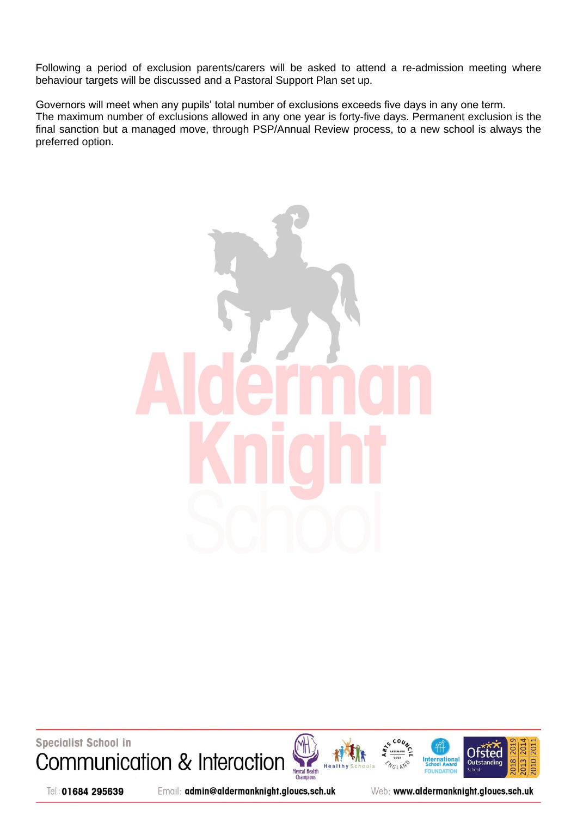Following a period of exclusion parents/carers will be asked to attend a re-admission meeting where behaviour targets will be discussed and a Pastoral Support Plan set up.

Governors will meet when any pupils' total number of exclusions exceeds five days in any one term. The maximum number of exclusions allowed in any one year is forty-five days. Permanent exclusion is the final sanction but a managed move, through PSP/Annual Review process, to a new school is always the preferred option.



**Specialist School in** Communication & Interaction







Tel: 01684 295639

Email: admin@aldermanknight.gloucs.sch.uk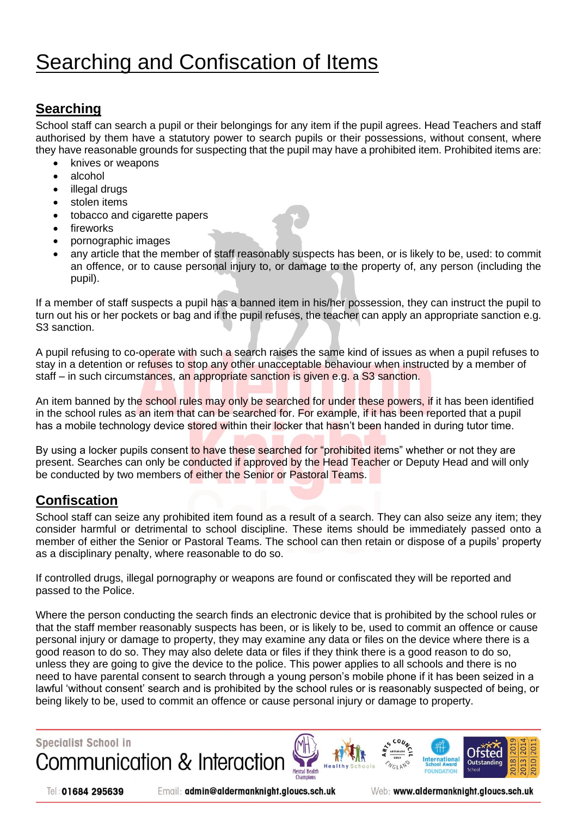## <span id="page-22-0"></span>Searching and Confiscation of Items

## <span id="page-22-1"></span>**Searching**

School staff can search a pupil or their belongings for any item if the pupil agrees. Head Teachers and staff authorised by them have a statutory power to search pupils or their possessions, without consent, where they have reasonable grounds for suspecting that the pupil may have a prohibited item. Prohibited items are:

- knives or weapons
- alcohol
- illegal drugs
- stolen items
- tobacco and cigarette papers
- fireworks
- pornographic images
- any article that the member of staff reasonably suspects has been, or is likely to be, used: to commit an offence, or to cause personal injury to, or damage to the property of, any person (including the pupil).

If a member of staff suspects a pupil has a banned item in his/her possession, they can instruct the pupil to turn out his or her pockets or bag and if the pupil refuses, the teacher can apply an appropriate sanction e.g. S3 sanction.

A pupil refusing to co-operate with such a search raises the same kind of issues as when a pupil refuses to stay in a detention or refuses to stop any other unacceptable behaviour when instructed by a member of staff – in such circumstances, an appropriate sanction is given e.g. a S3 sanction.

An item banned by the school rules may only be searched for under these powers, if it has been identified in the school rules as an item that can be searched for. For example, if it has been reported that a pupil has a mobile technology device stored within their locker that hasn't been handed in during tutor time.

By using a locker pupils consent to have these searched for "prohibited items" whether or not they are present. Searches can only be conducted if approved by the Head Teacher or Deputy Head and will only be conducted by two members of either the Senior or Pastoral Teams.

### <span id="page-22-2"></span>**Confiscation**

School staff can seize any prohibited item found as a result of a search. They can also seize any item; they consider harmful or detrimental to school discipline. These items should be immediately passed onto a member of either the Senior or Pastoral Teams. The school can then retain or dispose of a pupils' property as a disciplinary penalty, where reasonable to do so.

If controlled drugs, illegal pornography or weapons are found or confiscated they will be reported and passed to the Police.

Where the person conducting the search finds an electronic device that is prohibited by the school rules or that the staff member reasonably suspects has been, or is likely to be, used to commit an offence or cause personal injury or damage to property, they may examine any data or files on the device where there is a good reason to do so. They may also delete data or files if they think there is a good reason to do so, unless they are going to give the device to the police. This power applies to all schools and there is no need to have parental consent to search through a young person's mobile phone if it has been seized in a lawful 'without consent' search and is prohibited by the school rules or is reasonably suspected of being, or being likely to be, used to commit an offence or cause personal injury or damage to property.







Email: admin@aldermanknight.gloucs.sch.uk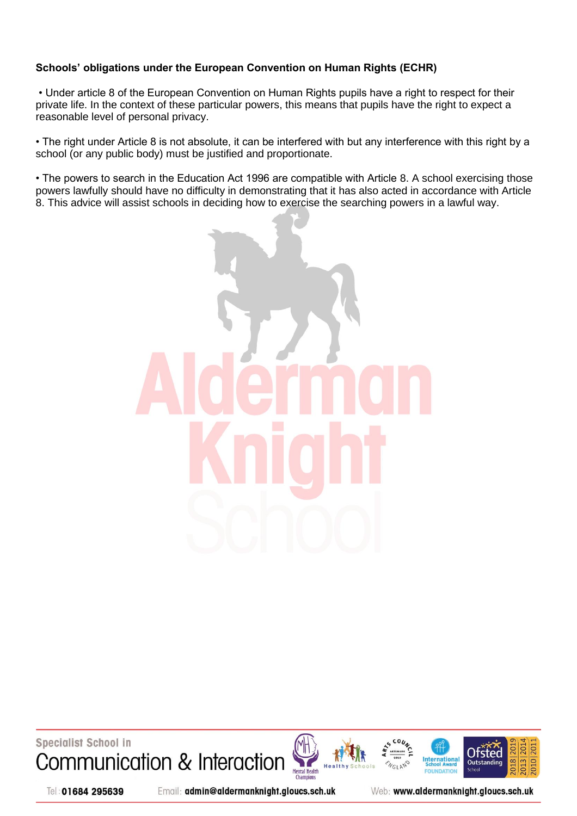#### **Schools' obligations under the European Convention on Human Rights (ECHR)**

• Under article 8 of the European Convention on Human Rights pupils have a right to respect for their private life. In the context of these particular powers, this means that pupils have the right to expect a reasonable level of personal privacy.

• The right under Article 8 is not absolute, it can be interfered with but any interference with this right by a school (or any public body) must be justified and proportionate.

• The powers to search in the Education Act 1996 are compatible with Article 8. A school exercising those powers lawfully should have no difficulty in demonstrating that it has also acted in accordance with Article 8. This advice will assist schools in deciding how to exercise the searching powers in a lawful way.



**Specialist School in** Communication & Interaction







Tel: 01684 295639

Email: admin@aldermanknight.gloucs.sch.uk